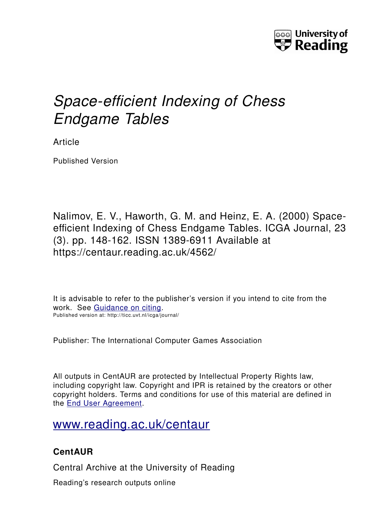

# *Space-efficient Indexing of Chess Endgame Tables*

Article

Published Version

Nalimov, E. V., Haworth, G. M. and Heinz, E. A. (2000) Spaceefficient Indexing of Chess Endgame Tables. ICGA Journal, 23 (3). pp. 148-162. ISSN 1389-6911 Available at https://centaur.reading.ac.uk/4562/

It is advisable to refer to the publisher's version if you intend to cite from the work. See [Guidance on citing.](http://centaur.reading.ac.uk/71187/10/CentAUR%20citing%20guide.pdf) Published version at: http://ticc.uvt.nl/icga/journal/

Publisher: The International Computer Games Association

All outputs in CentAUR are protected by Intellectual Property Rights law, including copyright law. Copyright and IPR is retained by the creators or other copyright holders. Terms and conditions for use of this material are defined in the [End User Agreement.](http://centaur.reading.ac.uk/licence)

## [www.reading.ac.uk/centaur](http://www.reading.ac.uk/centaur)

### **CentAUR**

Central Archive at the University of Reading

Reading's research outputs online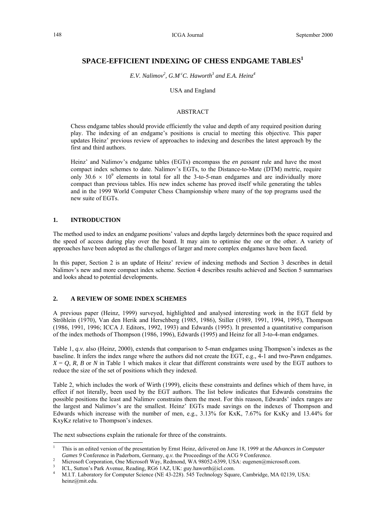#### **SPACE-EFFICIENT INDEXING OF CHESS ENDGAME TABLES<sup>1</sup>**

*E.V. Nalimov2 , G.M cC. Haworth3 and E.A. Heinz4*

#### USA and England

#### ABSTRACT

Chess endgame tables should provide efficiently the value and depth of any required position during play. The indexing of an endgame's positions is crucial to meeting this objective. This paper updates Heinz' previous review of approaches to indexing and describes the latest approach by the first and third authors.

Heinz' and Nalimov's endgame tables (EGTs) encompass the *en passant* rule and have the most compact index schemes to date. Nalimov's EGTs, to the Distance-to-Mate (DTM) metric, require only 30.6  $\times$  10<sup>9</sup> elements in total for all the 3-to-5-man endgames and are individually more compact than previous tables. His new index scheme has proved itself while generating the tables and in the 1999 World Computer Chess Championship where many of the top programs used the new suite of EGTs.

#### **1. INTRODUCTION**

l

The method used to index an endgame positions' values and depths largely determines both the space required and the speed of access during play over the board. It may aim to optimise the one or the other. A variety of approaches have been adopted as the challenges of larger and more complex endgames have been faced.

In this paper, Section 2 is an update of Heinz' review of indexing methods and Section 3 describes in detail Nalimov's new and more compact index scheme. Section 4 describes results achieved and Section 5 summarises and looks ahead to potential developments.

#### **2. A REVIEW OF SOME INDEX SCHEMES**

A previous paper (Heinz, 1999) surveyed, highlighted and analysed interesting work in the EGT field by Ströhlein (1970), Van den Herik and Herschberg (1985, 1986), Stiller (1989, 1991, 1994, 1995), Thompson (1986, 1991, 1996; ICCA J. Editors, 1992, 1993) and Edwards (1995). It presented a quantitative comparison of the index methods of Thompson (1986, 1996), Edwards (1995) and Heinz for all 3-to-4-man endgames.

Table 1, *q.v.* also (Heinz, 2000), extends that comparison to 5-man endgames using Thompson's indexes as the baseline. It infers the index range where the authors did not create the EGT, e.g.*,* 4-1 and two-Pawn endgames.  $X = Q$ , *R*, *B* or *N* in Table 1 which makes it clear that different constraints were used by the EGT authors to reduce the size of the set of positions which they indexed.

Table 2, which includes the work of Wirth (1999), elicits these constraints and defines which of them have, in effect if not literally, been used by the EGT authors. The list below indicates that Edwards constrains the possible positions the least and Nalimov constrains them the most. For this reason, Edwards' index ranges are the largest and Nalimov's are the smallest. Heinz' EGTs made savings on the indexes of Thompson and Edwards which increase with the number of men, e.g., 3.13% for KxK, 7.67% for KxKy and 13.44% for KxyKz relative to Thompson's indexes.

The next subsections explain the rationale for three of the constraints.

<sup>1</sup> This is an edited version of the presentation by Ernst Heinz, delivered on June 18, 1999 at the *Advances in Computer Games 9* Conference in Paderborn, Germany, *q.v.* the Proceedings of the ACG 9 Conference.

Microsoft Corporation, One Microsoft Way, Redmond, WA 98052-6399, USA: eugenen@microsoft.com.

ICL, Sutton's Park Avenue, Reading, RG6 1AZ, UK: guy.haworth@icl.com.

<sup>4</sup> M.I.T. Laboratory for Computer Science (NE 43-228). 545 Technology Square, Cambridge, MA 02139, USA: heinz@mit.edu.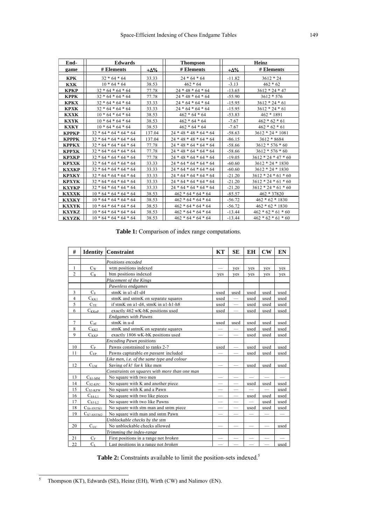| End-         | Edwards                  |        | <b>Thompson</b>          |             | Heinz                 |
|--------------|--------------------------|--------|--------------------------|-------------|-----------------------|
| game         | # Elements               | +Δ%    | # Elements               | <u>+Δ% </u> | # Elements            |
| KPK          | $32 * 64 * 64$           | 33.33  | $24 * 64 * 64$           | $-11.82$    | $3612 * 24$           |
| <b>KXK</b>   | $10 * 64 * 64$           | 38.53  | $462 * 64$               | $-3.13$     | $462 * 62$            |
| <b>KPKP</b>  | $32 * 64 * 64 * 64$      | 77.78  | $24 * 48 * 64 * 64$      | $-13.65$    | $3612 * 24 * 47$      |
| <b>KPPK</b>  | $32 * 64 * 64 * 64$      | 77.78  | $24 * 48 * 64 * 64$      | $-55.90$    | $3612 * 576$          |
| <b>KPKX</b>  | $32 * 64 * 64 * 64$      | 33.33  | $24 * 64 * 64 * 64$      | $-15.95$    | $3612 * 24 * 61$      |
| <b>KPXK</b>  | $32 * 64 * 64 * 64$      | 33.33  | $24 * 64 * 64 * 64$      | $-15.95$    | $3612 * 24 * 61$      |
| <b>KXXK</b>  | $10 * 64 * 64 * 64$      | 38.53  | $462 * 64 * 64$          | $-53.83$    | $462 * 1891$          |
| <b>KXYK</b>  | $10 * 64 * 64 * 64$      | 38.53  | $462 * 64 * 64$          | $-7.67$     | $462 * 62 * 61$       |
| <b>KXKY</b>  | $10 * 64 * 64 * 64$      | 38.53  | $462 * 64 * 64$          | $-7.67$     | $462 * 62 * 61$       |
| <b>KPPKP</b> | $32 * 64 * 64 * 64 * 64$ | 137.04 | $24 * 48 * 48 * 64 * 64$ | $-58.63$    | $3612 * 24 * 1081$    |
| <b>KPPPK</b> | $32 * 64 * 64 * 64 * 64$ | 137.04 | $24 * 48 * 48 * 64 * 64$ | $-86.15$    | $3612 * 8684$         |
| <b>KPPKX</b> | $32 * 64 * 64 * 64 * 64$ | 77.78  | $24 * 48 * 64 * 64 * 64$ | $-58.66$    | $3612 * 576 * 60$     |
| <b>KPPXK</b> | $32 * 64 * 64 * 64 * 64$ | 77.78  | $24 * 48 * 64 * 64 * 64$ | $-58.66$    | $3612 * 576 * 60$     |
| <b>KPXKP</b> | $32 * 64 * 64 * 64 * 64$ | 77.78  | $24 * 48 * 64 * 64 * 64$ | $-19.05$    | $3612 * 24 * 47 * 60$ |
| <b>KPXXK</b> | $32 * 64 * 64 * 64 * 64$ | 33.33  | $24 * 64 * 64 * 64 * 64$ | $-60.60$    | $3612 * 24 * 1830$    |
| <b>KXXKP</b> | $32 * 64 * 64 * 64 * 64$ | 33.33  | $24 * 64 * 64 * 64 * 64$ | $-60.60$    | $3612 * 24 * 1830$    |
| <b>KPXKY</b> | $32 * 64 * 64 * 64 * 64$ | 33.33  | $24 * 64 * 64 * 64 * 64$ | $-21.20$    | $3612 * 24 * 61 * 60$ |
| <b>KPXYK</b> | $32 * 64 * 64 * 64 * 64$ | 33.33  | $24 * 64 * 64 * 64 * 64$ | $-21.20$    | $3612 * 24 * 61 * 60$ |
| <b>KXYKP</b> | $32 * 64 * 64 * 64 * 64$ | 33.33  | $24 * 64 * 64 * 64 * 64$ | $-21.20$    | $3612 * 24 * 61 * 60$ |
| <b>KXXXK</b> | $10 * 64 * 64 * 64 * 64$ | 38.53  | $462 * 64 * 64 * 64$     | $-85.57$    | $462 * 37820$         |
| <b>KXXKY</b> | $10 * 64 * 64 * 64 * 64$ | 38.53  | $462 * 64 * 64 * 64$     | $-56.72$    | $462 * 62 * 1830$     |
| <b>KXXYK</b> | $10 * 64 * 64 * 64 * 64$ | 38.53  | $462 * 64 * 64 * 64$     | $-56.72$    | $462 * 62 * 1830$     |
| <b>KXYKZ</b> | $10 * 64 * 64 * 64 * 64$ | 38.53  | $462 * 64 * 64 * 64$     | $-13.44$    | $462 * 62 * 61 * 60$  |
| <b>KXYZK</b> | $10 * 64 * 64 * 64 * 64$ | 38.53  | $462 * 64 * 64 * 64$     | $-13.44$    | $462 * 62 * 61 * 60$  |

**Table 1:** Comparison of index range computations.

| #              | <b>Identity</b>       | <b>Constraint</b>                             | KT                       | <b>SE</b> | EH   | $\bf{CW}$ | EN   |
|----------------|-----------------------|-----------------------------------------------|--------------------------|-----------|------|-----------|------|
|                |                       | Positions encoded                             |                          |           |      |           |      |
| 1              | $C_{W}$               | wtm positions indexed                         |                          | yes       | yes  | yes       | yes  |
| $\overline{2}$ | $C_B$                 | btm positions indexed                         | yes                      | yes       | yes  | yes       | yes  |
|                |                       | Placement of the Kings                        |                          |           |      |           |      |
|                |                       | Pawnless endgames                             |                          |           |      |           |      |
| 3              | $C_8$                 | stmK in a1-d1-d4                              | used                     | used      | used | used      | used |
| $\overline{4}$ | $C_{KK1}$             | stmK and sntmK on separate squares            | used                     |           | used | used      | used |
| 5              | $C_{TE}$              | if stmK on a1-d4, stmK in a1-h1-h8            | used                     |           | used | used      | used |
| 6              | $C_{KKnP}$            | exactly 462 wK-bK positions used              | used                     |           | used | used      | used |
|                |                       | <b>Endgames with Pawns</b>                    |                          |           |      |           |      |
| $\overline{7}$ | $C_{ad}$              | stmK in a-d                                   | used                     | used      | used | used      | used |
| 8              | $C_{KK2}$             | stmK and sntmK on separate squares            |                          |           | used | used      | used |
| 9              | $\underline{C_{KKP}}$ | exactly 1806 wK-bK positions used             |                          |           | used | used      | used |
|                |                       | <b>Encoding Pawn positions</b>                |                          |           |      |           |      |
| 10             | $C_{P}$               | Pawns constrained to ranks 2-7                | used                     |           | used | used      | used |
| 11             | $C_{EP}$              | Pawns capturable en passant included          |                          |           | used | used      | used |
|                |                       | Like men, i.e. of the same type and colour    |                          |           |      |           |      |
| 12             | C <sub>LM</sub>       | Saving of $k!$ for $k$ like men               |                          |           | used | used      | used |
|                |                       | Constraints on squares with more than one man |                          |           |      |           |      |
| 13             | $C_{S1-MM}$           | No square with two men                        |                          |           |      |           |      |
| 14             | $C_{S2-KPC}$          | No square with K and another piece            | $\overline{\phantom{0}}$ |           | used | used      | used |
| 15             | $C_{S3-KPW}$          | No square with K and a Pawn                   |                          |           |      |           | used |
| 16             | $C_{S4-L1}$           | No square with two like pieces                |                          |           | used | used      | used |
| 17             | $C_{S5-L2}$           | No square with two like Pawns                 |                          | -         |      | used      | used |
| 18             | $CS6-SNTM1$           | No square with stm man and sntm piece         |                          |           | used | used      | used |
| 19             | $C_{S7-SNTM2}$        | No square with man and sntm Pawn              |                          |           |      |           |      |
|                |                       | Unblockable checks by the stm                 |                          |           |      |           |      |
| 20             | $C_{\text{UC}}$       | No unblockable checks allowed                 |                          |           |      |           | used |
|                |                       | Trimming the index-range                      |                          |           |      |           |      |
| 21             | $C_F$                 | First positions in a range not <i>broken</i>  |                          |           |      |           |      |
| 22             | C <sub>L</sub>        | Last positions in a range not <i>broken</i>   |                          |           |      |           | used |

Table 2: Constraints available to limit the position-sets indexed.<sup>5</sup>

<sup>&</sup>lt;sup>5</sup> Thompson (KT), Edwards (SE), Heinz (EH), Wirth (CW) and Nalimov (EN).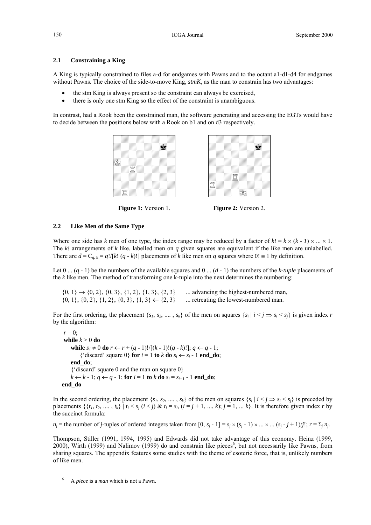#### **2.1 Constraining a King**

A King is typically constrained to files a-d for endgames with Pawns and to the octant a1-d1-d4 for endgames without Pawns. The choice of the side-to-move King, *stmK*, as the man to constrain has two advantages:

- the stm King is always present so the constraint can always be exercised,
- there is only one stm King so the effect of the constraint is unambiguous.

In contrast, had a Rook been the constrained man, the software generating and accessing the EGTs would have to decide between the positions below with a Rook on b1 and on d3 respectively.





**Figure 1:** Version 1.

**Figure 2:** Version 2.

#### **2.2 Like Men of the Same Type**

Where one side has *k* men of one type, the index range may be reduced by a factor of  $k! = k \times (k - 1) \times ... \times 1$ . The *k!* arrangements of *k* like, labelled men on *q* given squares are equivalent if the like men are unlabelled. There are  $d = C_{q, k} = q!/[k! (q - k)!]$  placements of *k* like men on *q* squares where  $0! \equiv 1$  by definition.

Let  $0 \dots (q - 1)$  be the numbers of the available squares and  $0 \dots (d - 1)$  the numbers of the *k-tuple* placements of the *k* like men. The method of transforming one k-tuple into the next determines the numbering:

 $\{0, 1\} \rightarrow \{0, 2\}, \{0, 3\}, \{1, 2\}, \{1, 3\}, \{2, 3\}$  ... advancing the highest-numbered man,  $\{0, 1\}, \{0, 2\}, \{1, 2\}, \{0, 3\}, \{1, 3\} \leftarrow \{2, 3\}$  ... retreating the lowest-numbered man.

For the first ordering, the placement  $\{s_1, s_2, ..., s_k\}$  of the men on squares  $\{s_i | i \leq j \Rightarrow s_i \leq s_j\}$  is given index *r* by the algorithm:

```
r = 0while k > 0 do 
     while s_1 \neq 0 do r \leftarrow r + (q - 1)! / [(k - 1)! (q - k)!]; q ← q - 1;
        {'discard' square 0} for i = 1 to k do s_i \leftarrow s_i - 1 end do;
     end_do; 
    {'discard' square 0 and the man on square 0}
    k \leftarrow k - 1; q \leftarrow q - 1; for i = 1 to k do s_i = s_{i+1} - 1 end_do;
end_do
```
In the second ordering, the placement  $\{s_1, s_2, \ldots, s_k\}$  of the men on squares  $\{s_i | i \leq j \Rightarrow s_i \leq s_j\}$  is preceded by placements  $\{\{t_1, t_2, \ldots, t_k\} \mid t_i \leq s_j \ (i \leq j) \ \& \ t_i = s_i, \ (i = j + 1, \ldots, k); j = 1, \ldots k\}$ . It is therefore given index r by the succinct formula:

 $n_j$  = the number of *j*-tuples of ordered integers taken from  $[0, s_j - 1] = s_j \times (s_j - 1) \times ... \times ... (s_j - j + 1)/j!$ ;  $r = \sum_j n_j$ .

Thompson, Stiller (1991, 1994, 1995) and Edwards did not take advantage of this economy. Heinz (1999, 2000), Wirth (1999) and Nalimov (1999) do and constrain like pieces<sup>6</sup>, but not necessarily like Pawns, from sharing squares. The appendix features some studies with the theme of esoteric force, that is, unlikely numbers of like men.

l

<sup>6</sup> A *piece* is a *man* which is not a Pawn.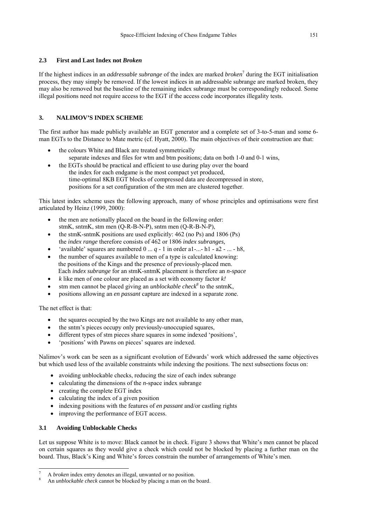#### **2.3 First and Last Index not** *Broken*

If the highest indices in an *addressable subrange* of the index are marked *broken*<sup>7</sup> during the EGT initialisation process, they may simply be removed. If the lowest indices in an addressable subrange are marked broken, they may also be removed but the baseline of the remaining index subrange must be correspondingly reduced. Some illegal positions need not require access to the EGT if the access code incorporates illegality tests.

#### **3. NALIMOV'S INDEX SCHEME**

The first author has made publicly available an EGT generator and a complete set of 3-to-5-man and some 6 man EGTs to the Distance to Mate metric (cf. Hyatt, 2000). The main objectives of their construction are that:

- the colours White and Black are treated symmetrically separate indexes and files for wtm and btm positions; data on both 1-0 and 0-1 wins,
- the EGTs should be practical and efficient to use during play over the board the index for each endgame is the most compact yet produced, time-optimal 8KB EGT blocks of compressed data are decompressed in store, positions for a set configuration of the stm men are clustered together.

This latest index scheme uses the following approach, many of whose principles and optimisations were first articulated by Heinz (1999, 2000):

- the men are notionally placed on the board in the following order: stmK, sntmK, stm men (Q-R-B-N-P), sntm men (Q-R-B-N-P),
- the stmK-sntmK positions are used explicitly: 462 (no Ps) and 1806 (Ps) the *index range* therefore consists of 462 or 1806 *index subranges,*
- 'available' squares are numbered  $0 \ldots q - 1$  in order a1-...- h1 - a2 - ... - h8,
- the number of squares available to men of a type is calculated knowing: the positions of the Kings and the presence of previously-placed men. Each *index subrange* for an stmK-sntmK placement is therefore an *n-space*
- *k* like men of one colour are placed as a set with economy factor *k!*
- stm men cannot be placed giving an *unblockable check*<sup>8</sup> to the sntmK,
- positions allowing an *en passant* capture are indexed in a separate zone.

The net effect is that:

- the squares occupied by the two Kings are not available to any other man,
- the sntm's pieces occupy only previously-unoccupied squares,
- different types of stm pieces share squares in some indexed 'positions',
- 'positions' with Pawns on pieces' squares are indexed.

Nalimov's work can be seen as a significant evolution of Edwards' work which addressed the same objectives but which used less of the available constraints while indexing the positions. The next subsections focus on:

- avoiding unblockable checks, reducing the size of each index subrange
- calculating the dimensions of the *n*-space index subrange
- creating the complete EGT index
- calculating the index of a given position
- indexing positions with the features of *en passant* and/or castling rights
- improving the performance of EGT access.

#### **3.1 Avoiding Unblockable Checks**

 $\overline{a}$ 

Let us suppose White is to move: Black cannot be in check. Figure 3 shows that White's men cannot be placed on certain squares as they would give a check which could not be blocked by placing a further man on the board. Thus, Black's King and White's forces constrain the number of arrangements of White's men.

<sup>7</sup> A *broken* index entry denotes an illegal, unwanted or no position.

An *unblockable check* cannot be blocked by placing a man on the board.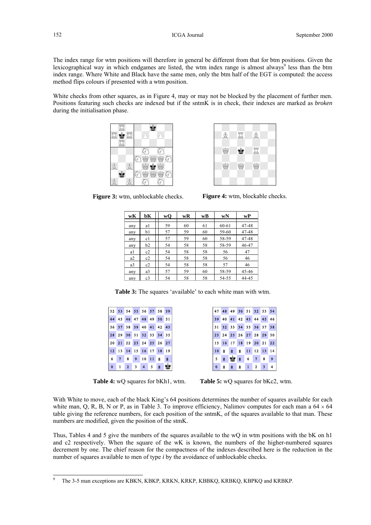The index range for wtm positions will therefore in general be different from that for btm positions. Given the lexicographical way in which endgames are listed, the wtm index range is almost always<sup>9</sup> less than the btm index range. Where White and Black have the same men, only the btm half of the EGT is computed: the access method flips colours if presented with a wtm position.

White checks from other squares, as in Figure 4, may or may not be blocked by the placement of further men. Positions featuring such checks are indexed but if the sntmK is in check, their indexes are marked as *broken* during the initialisation phase.





**Figure 3:** wtm, unblockable checks.

**Figure 4:** wtm, blockable checks.

| wK             | bК             | wQ | wR | wВ | wN    | wP    |
|----------------|----------------|----|----|----|-------|-------|
| any            | a1             | 59 | 60 | 61 | 60-61 | 47-48 |
| any            | b1             | 57 | 59 | 60 | 59-60 | 47-48 |
| any            | c1             | 57 | 59 | 60 | 58-59 | 47-48 |
| any            | b2             | 54 | 58 | 58 | 58-59 | 46-47 |
| a1             | c2             | 54 | 58 | 58 | 56    | 47    |
| a2             | c2             | 54 | 58 | 58 | 56    | 46    |
| a <sub>3</sub> | c2             | 54 | 58 | 58 | 57    | 46    |
| any            | a <sub>3</sub> | 57 | 59 | 60 | 58-59 | 45-46 |
| any            | c <sub>3</sub> | 54 | 58 | 58 | 54-55 | 44-45 |

**Table 3:** The squares 'available' to each white man with wtm.

| 52 53 54 55 56 57 58 59 |  |  |                |  |
|-------------------------|--|--|----------------|--|
| 44 45 46 47 48 49 50 51 |  |  |                |  |
| 36 37 38 39 40 41 42 43 |  |  |                |  |
| 28 29 30 31 32 33 34 35 |  |  |                |  |
| 20 21 22 23 24 25 26 27 |  |  |                |  |
| 12 13 14 15 16 17 18 19 |  |  |                |  |
| 6 7 8 9 10 11 8 8       |  |  |                |  |
| $0$ 1 2 3 4 5           |  |  | $\blacksquare$ |  |

|   |   | 47 48 49 50 51 52 53 54       |                  |  |  |
|---|---|-------------------------------|------------------|--|--|
|   |   | 39 40 41 42 43 44 45 46       |                  |  |  |
|   |   | 31 32 33 34 35 36 37 38       |                  |  |  |
|   |   | 23 24 25 26 27 28 29 30       |                  |  |  |
|   |   | 15 16 17 18 19 20 21 22       |                  |  |  |
|   |   | $10$ <b>B B B</b> 11 12 13 14 |                  |  |  |
|   |   | 5 <b>a b a</b> 6 7 8 9        |                  |  |  |
| 0 | П | <b>B</b>                      | <b>B</b> 1 2 3 4 |  |  |

**Table 4:** wQ squares for bKh1, wtm. **Table 5:** wQ squares for bKc2, wtm.

With White to move, each of the black King's 64 positions determines the number of squares available for each white man, Q, R, B, N or P, as in Table 3. To improve efficiency, Nalimov computes for each man a  $64 \times 64$ table giving the reference numbers, for each position of the sntmK, of the squares available to that man. These numbers are modified, given the position of the stmK.

Thus, Tables 4 and 5 give the numbers of the squares available to the wQ in wtm positions with the bK on h1 and c2 respectively. When the square of the wK is known, the numbers of the higher-numbered squares decrement by one. The chief reason for the compactness of the indexes described here is the reduction in the number of squares available to men of type *i* by the avoidance of unblockable checks.

The 3-5 man exceptions are KBKN, KBKP, KRKN, KRKP, KBBKQ, KRBKQ, KBPKQ and KRBKP.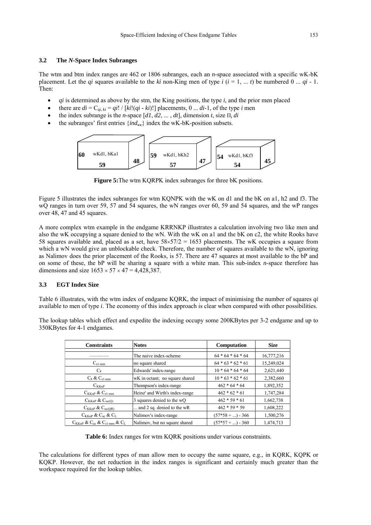#### **3.2 The** *N***-Space Index Subranges**

The wtm and btm index ranges are 462 or 1806 subranges, each an *n-*space associated with a specific wK-bK placement. Let the *qi* squares available to the *ki* non-King men of type  $i$  ( $i = 1, ..., t$ ) be numbered 0 ...  $qi - 1$ . Then:

- *qi* is determined as above by the stm, the King positions, the type *i*, and the prior men placed
- there are  $di = C_{qi, ki} = qi! / [ki!(qi - ki)!]$  placements, 0 ...  $di-1$ , of the type *i* men
- the index subrange is the *n*-space  $[d1, d2, \ldots, dt]$ , dimension *t*, size  $\Pi_i$  *di*
- the subranges' first entries {*ind<sub>κκ</sub>*} index the wK-bK-position subsets.



**Figure 5:**The wtm KQRPK index subranges for three bK positions.

Figure 5 illustrates the index subranges for wtm KQNPK with the wK on d1 and the bK on a1, h2 and f3. The wQ ranges in turn over 59, 57 and 54 squares, the wN ranges over 60, 59 and 54 squares, and the wP ranges over 48, 47 and 45 squares.

A more complex wtm example in the endgame KRRNKP illustrates a calculation involving two like men and also the wK occupying a square denied to the wN. With the wK on a1 and the bK on c2, the white Rooks have 58 squares available and, placed as a set, have  $58\times57/2 = 1653$  placements. The wK occupies a square from which a wN would give an unblockable check. Therefore, the number of squares available to the wN, ignoring as Nalimov does the prior placement of the Rooks, is 57. There are 47 squares at most available to the bP and on some of these, the bP will be sharing a square with a white man. This sub-index *n*-space therefore has dimensions and size  $1653 \times 57 \times 47 = 4.428.387$ .

#### **3.3 EGT Index Size**

Table 6 illustrates, with the wtm index of endgame KQRK, the impact of minimising the number of squares *qi* available to men of type *i*. The economy of this index approach is clear when compared with other possibilities.

The lookup tables which effect and expedite the indexing occupy some 200KBytes per 3-2 endgame and up to 350KBytes for 4-1 endgames.

| <b>Constraints</b>                                                        | <b>Notes</b>                   | Computation         | <b>Size</b> |
|---------------------------------------------------------------------------|--------------------------------|---------------------|-------------|
|                                                                           | The naive index-scheme         | $64 * 64 * 64 * 64$ | 16,777,216  |
| $C_{s1-mm}$                                                               | no square shared               | $64 * 63 * 62 * 61$ | 15,249,024  |
| $C_8$                                                                     | Edwards' index-range           | $10 * 64 * 64 * 64$ | 2,621,440   |
| $C_8$ & $C_{s1-mm}$                                                       | wK in octant; no square shared | $10 * 63 * 62 * 61$ | 2,382,660   |
| $C_{\text{KKnP}}$                                                         | Thompson's index-range         | $462 * 64 * 64$     | 1,892,352   |
| $C_{\text{KKnP}}$ & $C_{\text{s1-mm}}$                                    | Heinz' and Wirth's index-range | $462 * 62 * 61$     | 1,747,284   |
| $C_{\text{KKnP}}$ & $C_{\text{uc}(Q)}$                                    | 3 squares denied to the wQ     | $462 * 59 * 61$     | 1,662,738   |
| $C_{\text{KKnP}}$ & $C_{\text{uc}(\text{QR})}$                            | and 2 sq. denied to the wR     | $462 * 59 * 59$     | 1,608,222   |
| $C_{\text{KKnP}}$ & $C_{\text{uc}}$ & $C_{\text{L}}$                      | Nalimov's index-range          | $(57*58 + ) - 366$  | 1,500,276   |
| $C_{\text{KKnP}}$ & $C_{\text{uc}}$ & $C_{\text{s1-mm}}$ & $C_{\text{L}}$ | Nalimov, but no square shared  | $(57*57 + ) - 360$  | 1,474,713   |

**Table 6:** Index ranges for wtm KQRK positions under various constraints.

The calculations for different types of man allow men to occupy the same square, e.g., in KQRK, KQPK or KQKP. However, the net reduction in the index ranges is significant and certainly much greater than the workspace required for the lookup tables.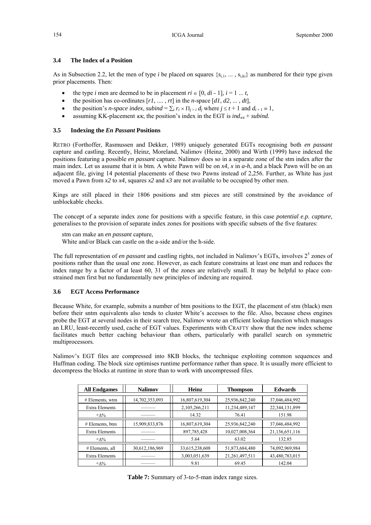#### **3.4 The Index of a Position**

As in Subsection 2.2, let the men of type *i* be placed on squares  $\{s_{i_1}, \ldots, s_{ik}\}\$  as numbered for their type given prior placements. Then:

- the type *i* men are deemed to be in placement  $ri \in [0, di - 1], i = 1 ... t$ ,
- the position has co-ordinates  $[r1, \ldots, rt]$  in the *n*-space  $[d1, d2, \ldots, dt]$ ,
- the position's *n*-space index, subind =  $\sum_i r_i \times \prod_{i>i} d_i$  where  $j \le t + 1$  and  $d_{t+1} \equiv 1$ ,
- assuming KK-placement  $\kappa \kappa$ , the position's index in the EGT is *ind<sub>* $\kappa \kappa$ *</sub> + subind.*

#### **3.5 Indexing the** *En Passant* **Positions**

RETRO (Forthoffer, Rasmussen and Dekker, 1989) uniquely generated EGTs recognising both *en passant* capture and castling. Recently, Heinz, Moreland, Nalimov (Heinz, 2000) and Wirth (1999) have indexed the positions featuring a possible *en passant* capture. Nalimov does so in a separate zone of the stm index after the main index. Let us assume that it is btm. A white Pawn will be on *x4*, *x* in *a-h*, and a black Pawn will be on an adjacent file, giving 14 potential placements of these two Pawns instead of 2,256. Further, as White has just moved a Pawn from  $x^2$  to  $x^4$ , squares  $x^2$  and  $x^3$  are not available to be occupied by other men.

Kings are still placed in their 1806 positions and stm pieces are still constrained by the avoidance of unblockable checks.

The concept of a separate index zone for positions with a specific feature, in this case *potential e.p. capture*, generalises to the provision of separate index zones for positions with specific subsets of the five features:

stm can make an *en passant* capture,

White and/or Black can castle on the a-side and/or the h-side.

The full representation of *en passant* and castling rights, not included in Nalimov's EGTs, involves 2<sup>5</sup> zones of positions rather than the usual one zone. However, as each feature constrains at least one man and reduces the index range by a factor of at least 60, 31 of the zones are relatively small. It may be helpful to place constrained men first but no fundamentally new principles of indexing are required.

#### **3.6 EGT Access Performance**

Because White, for example, submits a number of btm positions to the EGT, the placement of stm (black) men before their sntm equivalents also tends to cluster White's accesses to the file. Also, because chess engines probe the EGT at several nodes in their search tree, Nalimov wrote an efficient lookup function which manages an LRU, least-recently used, cache of EGT values. Experiments with CRAFTY show that the new index scheme facilitates much better caching behaviour than others, particularly with parallel search on symmetric multiprocessors.

Nalimov's EGT files are compressed into 8KB blocks, the technique exploiting common sequences and Huffman coding. The block size optimises runtime performance rather than space. It is usually more efficient to decompress the blocks at runtime in store than to work with uncompressed files.

| <b>All Endgames</b>   | <b>Nalimov</b> | Heinz          | <b>Thompson</b> | <b>Edwards</b>    |
|-----------------------|----------------|----------------|-----------------|-------------------|
| $#$ Elements, wtm     | 14,702,353,093 | 16,807,619,304 | 25,936,842,240  | 37,046,484,992    |
| <b>Extra Elements</b> |                | 2,105,266,211  | 11,234,489,147  | 22, 344, 131, 899 |
| $+\Lambda\%$          |                | 14.32          | 76.41           | 151.98            |
| # Elements, btm       | 15,909,833,876 | 16,807,619,304 | 25,936,842,240  | 37,046,484,992    |
| <b>Extra Elements</b> |                | 897,785,428    | 10,027,008,364  | 21,136,651,116    |
| $+\Lambda\%$          |                | 5.64           | 63.02           | 132.85            |
| # Elements, all       | 30,612,186,969 | 33,615,238,608 | 51,873,684,480  | 74,092,969,984    |
| <b>Extra Elements</b> |                | 3,003,051,639  | 21,261,497,511  | 43,480,783,015    |
| $+\Lambda\%$          |                | 9.81           | 69.45           | 142.04            |

**Table 7:** Summary of 3-to-5-man index range sizes.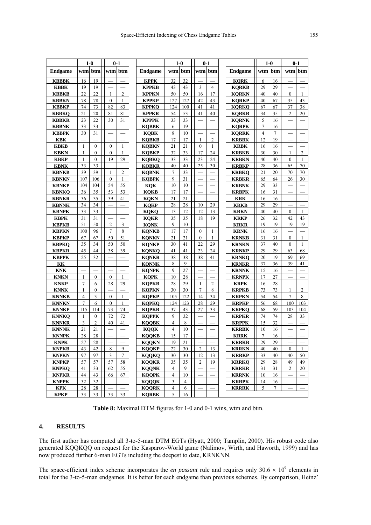|                              | $1-0$          |                |                          | $0 - 1$                  |                              | $1-0$          |                |                               | $0 - 1$        |                              |                | $1 - 0$  |                          | $0 - 1$                           |
|------------------------------|----------------|----------------|--------------------------|--------------------------|------------------------------|----------------|----------------|-------------------------------|----------------|------------------------------|----------------|----------|--------------------------|-----------------------------------|
| <b>Endgame</b>               |                | wtm btm        |                          | wtm  btm                 | <b>Endgame</b>               | wtm            | btm            |                               | wtml btm       | <b>Endgame</b>               |                | wtml btm |                          | wtm  btm                          |
| <b>KBBBK</b>                 | 16             | 19             |                          |                          | <b>KPPK</b>                  | 32             | 32             |                               |                | <b>KORK</b>                  | 6              | 16       |                          |                                   |
| <b>KBBK</b>                  | 19             | 19             |                          |                          | <b>KPPKB</b>                 | 43             | 43             | $\overline{3}$                | $\overline{4}$ | <b>KQRKB</b>                 | 29             | 29       |                          |                                   |
| <b>KBBKB</b>                 | 22             | 22             | 1                        | 2                        | <b>KPPKN</b>                 | 50             | 50             | 16                            | 17             | <b>KORKN</b>                 | 40             | 40       | $\mathbf{0}$             | 1                                 |
| <b>KBBKN</b>                 | 78             | 78             | $\mathbf{0}$             | 1                        | <b>KPPKP</b>                 | 127            | 127            | 42                            | 43             | <b>KQRKP</b>                 | 40             | 67       | 35                       | 43                                |
| <b>KBBKP</b>                 | 74             | 73             | 82                       | 83                       | <b>KPPKO</b>                 | 124            | 100            | 41                            | 41             | <b>KORKO</b>                 | 67             | 67       | 37                       | 38                                |
| <b>KBBKO</b>                 | 21             | 20             | 81                       | 81                       | <b>KPPKR</b>                 | 54             | 53             | 41                            | 40             | <b>KORKR</b>                 | 34             | 35       | $\overline{c}$           | 20                                |
| <b>KBBKR</b>                 | 23             | 22             | 30                       | 31                       | <b>KPPPK</b>                 | 33             | 33             | $\overline{\phantom{0}}$      |                | <b>KQRNK</b>                 | 5              | 16       |                          |                                   |
| <b>KBBNK</b>                 | 33             | 33             |                          |                          | <b>KQBBK</b>                 | 6              | 19             |                               |                | <b>KQRPK</b>                 | 7              | 16       |                          |                                   |
| <b>KBBPK</b>                 | 30             | 31             | $\overline{\phantom{0}}$ | $\overline{\phantom{0}}$ | <b>KQBK</b>                  | 8              | 10             |                               |                | <b>KQRRK</b>                 | $\overline{4}$ | $\tau$   |                          |                                   |
| <b>KBK</b>                   |                |                |                          |                          | <b>KQBKB</b>                 | 17             | 17             | 1                             | $\overline{2}$ | <b>KRBBK</b>                 | 12             | 19       |                          |                                   |
| <b>KBKB</b>                  | 1              | $\mathbf{0}$   | $\mathbf{0}$             | 1                        | <b>KQBKN</b>                 | 21             | 21             | $\overline{0}$                | 1              | <b>KRBK</b>                  | 16             | 16       |                          | $\overbrace{\phantom{123221111}}$ |
| <b>KBKN</b>                  | 1              | $\mathbf{0}$   | $\mathbf{0}$             | 1                        | <b>KQBKP</b>                 | 32             | 33             | 17                            | 24             | <b>KRBKB</b>                 | 30             | 30       | 1                        | 2                                 |
| <b>KBKP</b>                  | 1              | $\mathbf{0}$   | 19                       | 29                       | <b>KQBKQ</b>                 | 33             | 33             | 23                            | 24             | <b>KRBKN</b>                 | 40             | 40       | $\mathbf{0}$             | $\mathbf{1}$                      |
| <b>KBNK</b>                  | 33             | 33             |                          |                          | <b>KQBKR</b>                 | 40             | 40             | 25                            | 30             | <b>KRBKP</b>                 | $28\,$         | 36       | 65                       | 70                                |
| <b>KBNKB</b>                 | 39             | 39             | 1                        | $\overline{c}$           | <b>KQBNK</b>                 | $\overline{7}$ | 33             | $\overbrace{\phantom{12333}}$ |                | <b>KRBKQ</b>                 | 21             | 20       | 70                       | 70                                |
| <b>KBNKN</b>                 | 107            | 106            | $\mathbf{0}$             | 1                        | <b>KQBPK</b>                 | 9              | 31             |                               |                | <b>KRBKR</b>                 | 65             | 64       | 26                       | 30                                |
| <b>KBNKP</b>                 | 104            | 104            | 54                       | 55                       | KQK                          | 10             | 10             |                               |                | <b>KRBNK</b>                 | 29             | 33       |                          |                                   |
| <b>KBNKQ</b>                 | 36             | 35             | 53                       | 53                       | <b>KOKB</b>                  | 17             | 17             |                               |                | <b>KRBPK</b>                 | 16             | 31       |                          |                                   |
| <b>KBNKR</b>                 | 36             | 35             | 39                       | 41                       | <b>KQKN</b>                  | 21             | 21             |                               |                | <b>KRK</b>                   | 16             | 16       |                          |                                   |
| <b>KBNNK</b>                 | 34             | 34             |                          |                          | <b>KQKP</b>                  | 28             | 28             | 10                            | 29             | <b>KRKB</b>                  | 29             | 29       |                          |                                   |
| <b>KBNPK</b>                 | 33             | 33             |                          |                          | <b>KQKQ</b>                  | 13             | 12             | 12                            | 13             | <b>KRKN</b>                  | 40             | 40       | $\mathbf{0}$             | $\mathbf{1}$                      |
| <b>KBPK</b>                  | 31             | 31             |                          |                          | <b>KOKR</b>                  | 35             | 35             | 18                            | 19             | <b>KRKP</b>                  | 26             | 32       | 42                       | 43                                |
| <b>KBPKB</b>                 | 51             | 50             | $\overline{2}$           | 3                        | <b>KONK</b>                  | 9              | 10             | $\overline{\phantom{0}}$      |                | <b>KRKR</b>                  | 19             | 19       | 19                       | 19                                |
| <b>KBPKN</b>                 | 100            | 96             | 7                        | 8                        | <b>KQNKB</b>                 | 17             | 17             | $\mathbf{0}$                  | 1              | <b>KRNK</b>                  | 16             | 16       |                          |                                   |
| <b>KBPKP</b>                 | 67             | 67             | 50                       | 51                       | <b>KQNKN</b>                 | 21             | 21             | $\mathbf{0}$                  | 1              | <b>KRNKB</b>                 | 31             | 31       | $\mathbf{0}$             | $\mathbf{1}$                      |
| <b>KBPKQ</b>                 | 35             | 34             | 50                       | 50                       | <b>KQNKP</b>                 | 30             | 41             | 22                            | 29             | <b>KRNKN</b>                 | 37             | 40       | $\mathbf{0}$             | $\mathbf{1}$                      |
| <b>KBPKR</b>                 | 45             | 44             | 38                       | 39                       | <b>KONKO</b>                 | 41             | 41             | 23                            | 24             | <b>KRNKP</b>                 | 29             | 29       | 63                       | 68                                |
| <b>KBPPK</b>                 | 25             | 32             |                          |                          | <b>KONKR</b>                 | 38             | 38             | 38                            | 41             | <b>KRNKQ</b>                 | 20             | 19       | 69                       | 69                                |
| KK                           |                |                |                          |                          | <b>KQNNK</b>                 | 8              | 9              |                               |                | <b>KRNKR</b>                 | 37             | 36       | 39                       | 41                                |
| <b>KNK</b>                   |                |                |                          |                          | <b>KQNPK</b>                 | $\mathbf{Q}$   | 27             |                               |                | <b>KRNNK</b>                 | 15             | 16       |                          | $\overline{\phantom{0}}$          |
| <b>KNKN</b>                  | 1              | $\mathbf{0}$   | $\mathbf{0}$             | 1                        | <b>KQPK</b>                  | 10             | 28             |                               |                | <b>KRNPK</b>                 | 17             | 27       |                          |                                   |
| <b>KNKP</b>                  | 7              | 6              | 28                       | 29                       | <b>KQPKB</b>                 | 28             | 29             | 1                             | $\overline{c}$ | <b>KRPK</b>                  | 16             | 28       |                          |                                   |
| <b>KNNK</b>                  | 1              | $\mathbf{0}$   |                          |                          | <b>KQPKN</b>                 | 30             | 30             | $\overline{7}$                | 8              | <b>KRPKB</b>                 | 73             | 73       | $\mathbf{1}$             | $\overline{c}$                    |
| <b>KNNKB</b>                 | $\overline{4}$ | 3              | $\mathbf{0}$             | $\mathbf{1}$             | <b>KQPKP</b>                 | 105            | 122            | 14                            | 34             | <b>KRPKN</b>                 | 54             | 54       | 7                        | 8                                 |
| <b>KNNKN</b>                 | 7              | 6              | $\theta$                 | 1                        | <b>KOPKO</b>                 | 124            | 123            | 28                            | 29             | <b>KRPKP</b>                 | 56             | 68       | 100                      | 103                               |
| <b>KNNKP</b>                 | 115            | 114            | 73                       | 74                       | <b>KQPKR</b>                 | 37             | 43             | 27                            | 33             | <b>KRPKQ</b>                 | 68             | 59       | 103                      | 104                               |
| <b>KNNKQ</b>                 | 1              | $\mathbf{0}$   | 72                       | 72                       | <b>KQPPK</b>                 | 9              | 32             |                               |                | <b>KRPKR</b>                 | 74             | 74       | 28                       | 33                                |
| <b>KNNKR</b>                 | 3              | $\overline{2}$ | 40                       | 41                       | <b>KOOBK</b>                 | $\overline{4}$ | 8              |                               |                | <b>KRPPK</b>                 | 15             | 32       |                          |                                   |
| <b>KNNNK</b>                 | 21             | 21             |                          |                          | <b>KOOK</b>                  | $\overline{4}$ | 10             |                               |                | <b>KRRBK</b>                 | 10             | 16       |                          |                                   |
| <b>KNNPK</b>                 | 28             | 28             |                          |                          | <b>KQQKB</b>                 | 15             | 17             |                               |                | <b>KRRK</b>                  | 7              | 16       |                          |                                   |
| <b>KNPK</b>                  | 27             | 28             |                          | 9                        | <b>KOOKN</b>                 | 19             | 21             |                               |                | <b>KRRKB</b>                 | 29             | 29       |                          |                                   |
| <b>KNPKB</b><br><b>KNPKN</b> | 43<br>97       | 42<br>97       | $\,8\,$<br>3             | $7\overline{ }$          | <b>KQQKP</b><br><b>KOQKQ</b> | 22<br>30       | 30<br>$30\,$   | $\overline{c}$<br>12          | 13<br>13       | <b>KRRKN</b><br><b>KRRKP</b> | 40<br>33       | 40<br>40 | $\mathbf{0}$<br>40       | 1<br>50                           |
| <b>KNPKP</b>                 | 57             | 57             | 57                       | 58                       | <b>KQQKR</b>                 | 35             | 35             | 2                             | 19             | <b>KRRKQ</b>                 | 29             | 28       | 49                       | 49                                |
| <b>KNPKQ</b>                 | 41             | 33             | 62                       | 55                       | <b>KOONK</b>                 | $\overline{4}$ | 9              |                               |                | <b>KRRKR</b>                 | 31             | 31       | $\overline{2}$           | 20                                |
| <b>KNPKR</b>                 | 44             | 43             | 66                       | 67                       | <b>KOOPK</b>                 | $\overline{4}$ | 10             |                               |                | <b>KRRNK</b>                 | 10             | 16       | $\overline{\phantom{0}}$ |                                   |
| <b>KNPPK</b>                 | 32             | 32             |                          |                          | <b>KOOOK</b>                 | 3              | $\overline{4}$ |                               |                | <b>KRRPK</b>                 | 14             | 16       |                          |                                   |
| <b>KPK</b>                   | 28             | 28             |                          |                          | <b>KQQRK</b>                 | 4              | 6              |                               |                | <b>KRRRK</b>                 | 5              | 7        |                          |                                   |
| <b>KPKP</b>                  | 33             | 33             | 33                       | 33                       | <b>KQRBK</b>                 | 5              | 16             |                               |                |                              |                |          |                          |                                   |

**Table 8:** Maximal DTM figures for 1-0 and 0-1 wins, wtm and btm.

#### **4. RESULTS**

The first author has computed all 3-to-5-man DTM EGTs (Hyatt, 2000; Tamplin, 2000). His robust code also generated KQQKQQ on request for the Kasparov-World game (Nalimov, Wirth, and Haworth, 1999) and has now produced further 6-man EGTs including the deepest to date, KRNKNN.

The space-efficient index scheme incorporates the *en passant* rule and requires only  $30.6 \times 10^9$  elements in total for the 3-to-5-man endgames. It is better for each endgame than previous schemes. By comparison, Heinz'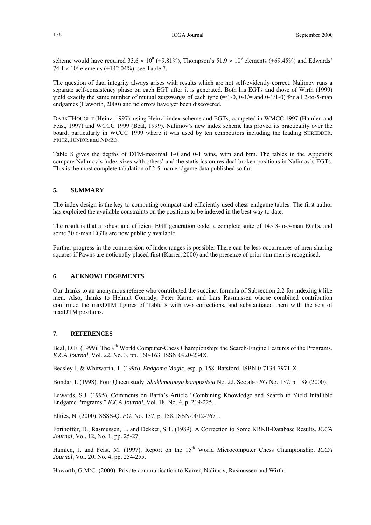scheme would have required  $33.6 \times 10^9$  (+9.81%), Thompson's  $51.9 \times 10^9$  elements (+69.45%) and Edwards'  $74.1 \times 10^9$  elements (+142.04%), see Table 7.

The question of data integrity always arises with results which are not self-evidently correct. Nalimov runs a separate self-consistency phase on each EGT after it is generated. Both his EGTs and those of Wirth (1999) yield exactly the same number of mutual zugzwangs of each type  $(=/1-0, 0-1/=$  and  $(0-1/1-0)$  for all 2-to-5-man endgames (Haworth, 2000) and no errors have yet been discovered.

DARKTHOUGHT (Heinz, 1997), using Heinz' index-scheme and EGTs, competed in WMCC 1997 (Hamlen and Feist, 1997) and WCCC 1999 (Beal, 1999). Nalimov's new index scheme has proved its practicality over the board, particularly in WCCC 1999 where it was used by ten competitors including the leading SHREDDER, FRITZ, JUNIOR and NIMZO.

Table 8 gives the depths of DTM-maximal 1-0 and 0-1 wins, wtm and btm. The tables in the Appendix compare Nalimov's index sizes with others' and the statistics on residual broken positions in Nalimov's EGTs. This is the most complete tabulation of 2-5-man endgame data published so far.

#### **5. SUMMARY**

The index design is the key to computing compact and efficiently used chess endgame tables. The first author has exploited the available constraints on the positions to be indexed in the best way to date.

The result is that a robust and efficient EGT generation code, a complete suite of 145 3-to-5-man EGTs, and some 30 6-man EGTs are now publicly available.

Further progress in the compression of index ranges is possible. There can be less occurrences of men sharing squares if Pawns are notionally placed first (Karrer, 2000) and the presence of prior stm men is recognised.

#### **6. ACKNOWLEDGEMENTS**

Our thanks to an anonymous referee who contributed the succinct formula of Subsection 2.2 for indexing *k* like men. Also, thanks to Helmut Conrady, Peter Karrer and Lars Rasmussen whose combined contribution confirmed the maxDTM figures of Table 8 with two corrections, and substantiated them with the sets of maxDTM positions.

#### **7. REFERENCES**

Beal, D.F. (1999). The 9<sup>th</sup> World Computer-Chess Championship: the Search-Engine Features of the Programs. *ICCA Journal*, Vol. 22, No. 3, pp. 160-163. ISSN 0920-234X.

Beasley J. & Whitworth, T. (1996). *Endgame Magic*, esp. p. 158. Batsford. ISBN 0-7134-7971-X.

Bondar, I. (1998). Four Queen study. *Shakhmatnaya kompozitsia* No. 22. See also *EG* No. 137, p. 188 (2000).

Edwards, S.J. (1995). Comments on Barth's Article "Combining Knowledge and Search to Yield Infallible Endgame Programs." *ICCA Journal*, Vol. 18, No. 4, p. 219-225.

Elkies, N. (2000). SSSS-Q. *EG*, No. 137, p. 158. ISSN-0012-7671.

Forthoffer, D., Rasmussen, L. and Dekker, S.T. (1989). A Correction to Some KRKB-Database Results. *ICCA Journal*, Vol. 12, No. 1, pp. 25-27.

Hamlen, J. and Feist, M. (1997). Report on the 15<sup>th</sup> World Microcomputer Chess Championship. *ICCA Journal*, Vol. 20. No. 4, pp. 254-255.

Haworth, G.M°C. (2000). Private communication to Karrer, Nalimov, Rasmussen and Wirth.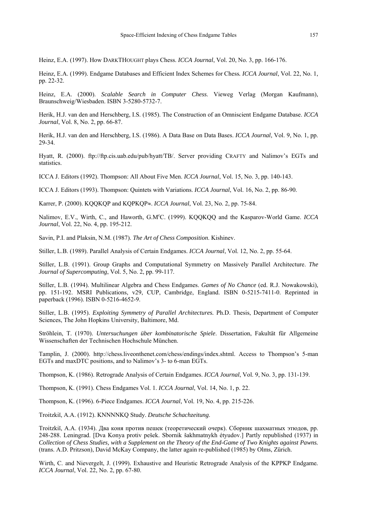Heinz, E.A. (1997). How DARKTHOUGHT plays Chess. *ICCA Journal*, Vol. 20, No. 3, pp. 166-176.

Heinz, E.A. (1999). Endgame Databases and Efficient Index Schemes for Chess*. ICCA Journal*, Vol. 22, No. 1, pp. 22-32.

Heinz, E.A. (2000). *Scalable Search in Computer Chess*. Vieweg Verlag (Morgan Kaufmann), Braunschweig/Wiesbaden. ISBN 3-5280-5732-7.

Herik, H.J. van den and Herschberg, I.S. (1985). The Construction of an Omniscient Endgame Database. *ICCA Journal*, Vol. 8, No. 2, pp. 66-87.

Herik, H.J. van den and Herschberg, I.S. (1986). A Data Base on Data Bases. *ICCA Journal*, Vol. 9, No. 1, pp. 29-34.

Hyatt, R. (2000). ftp://ftp.cis.uab.edu/pub/hyatt/TB/. Server providing CRAFTY and Nalimov's EGTs and statistics.

ICCA J. Editors (1992). Thompson: All About Five Men. *ICCA Journal*, Vol. 15, No. 3, pp. 140-143.

ICCA J. Editors (1993). Thompson: Quintets with Variations. *ICCA Journal*, Vol. 16, No. 2, pp. 86-90.

Karrer, P. (2000). KQQKQP and KQPKQP≈. *ICCA Journal*, Vol. 23, No. 2, pp. 75-84.

Nalimov, E.V., Wirth, C., and Haworth, G.M°C. (1999). KQQKQQ and the Kasparov-World Game. *ICCA Journal*, Vol. 22, No. 4, pp. 195-212.

Savin, P.I. and Plaksin, N.M. (1987). *The Art of Chess Composition*. Kishinev.

Stiller, L.B. (1989). Parallel Analysis of Certain Endgames. *ICCA Journal*, Vol. 12, No. 2, pp. 55-64.

Stiller, L.B. (1991). Group Graphs and Computational Symmetry on Massively Parallel Architecture. *The Journal of Supercomputing*, Vol. 5, No. 2, pp. 99-117.

Stiller, L.B. (1994). Multilinear Algebra and Chess Endgames. *Games of No Chance* (ed. R.J. Nowakowski), pp. 151-192. MSRI Publications, v29, CUP, Cambridge, England. ISBN 0-5215-7411-0. Reprinted in paperback (1996). ISBN 0-5216-4652-9.

Stiller, L.B. (1995). *Exploiting Symmetry of Parallel Architectures.* Ph.D. Thesis, Department of Computer Sciences, The John Hopkins University, Baltimore, Md.

Ströhlein, T. (1970). *Untersuchungen über kombinatorische Spiele*. Dissertation, Fakultät für Allgemeine Wissenschaften der Technischen Hochschule München.

Tamplin, J. (2000). http://chess.liveonthenet.com/chess/endings/index.shtml. Access to Thompson's 5-man EGTs and maxDTC positions, and to Nalimov's 3- to 6-man EGTs.

Thompson, K. (1986). Retrograde Analysis of Certain Endgames. *ICCA Journal*, Vol. 9, No. 3, pp. 131-139.

Thompson, K. (1991). Chess Endgames Vol. 1. *ICCA Journal*, Vol. 14, No. 1, p. 22.

Thompson, K. (1996). 6-Piece Endgames. *ICCA Journal*, Vol. 19, No. 4, pp. 215-226.

Troitzkiĭ, A.A. (1912). KNNNNKQ Study. *Deutsche Schachzeitung*.

Troitzkiĭ, A.A. (1934). Два коня против пешек (теоретический очерк). Сборник шахматных этюдов, pp. 248-288. Leningrad. [Dva Konya protiv pešek. Sbornik šakhmatnykh étyudov.] Partly republished (1937) in *Collection of Chess Studies, with a Supplement on the Theory of the End-Game of Two Knights against Pawns.* (trans. A.D. Pritzson), David McKay Company, the latter again re-published (1985) by Olms, Zürich.

Wirth, C. and Nievergelt, J. (1999). Exhaustive and Heuristic Retrograde Analysis of the KPPKP Endgame*. ICCA Journal*, Vol. 22, No. 2, pp. 67-80.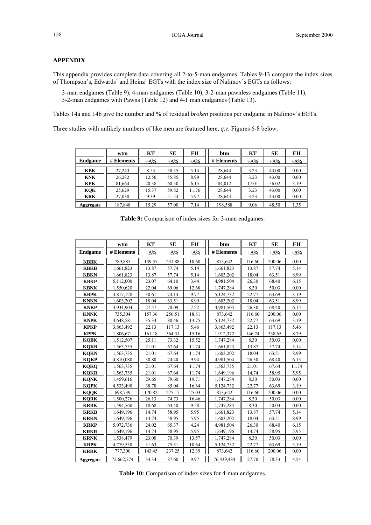#### **APPENDIX**

This appendix provides complete data covering all 2-to-5-man endgames. Tables 9-13 compare the index sizes of Thompson's, Edwards' and Heinz' EGTs with the index size of Nalimov's EGTs as follows:

 3-man endgames (Table 9), 4-man endgames (Table 10), 3-2-man pawnless endgames (Table 11), 3-2-man endgames with Pawns (Table 12) and 4-1 man endgames (Table 13).

Tables 14a and 14b give the number and % of residual *broken* positions per endgame in Nalimov's EGTs.

Three studies with unlikely numbers of like men are featured here, *q.v.* Figures 6-8 below.

|                | wtm        | KТ    | SE    | ЕH          | btm        | KT    | SЕ    | EH          |
|----------------|------------|-------|-------|-------------|------------|-------|-------|-------------|
| <b>Endgame</b> | # Elements | +Δ%   | +Δ%   | $+\Delta\%$ | # Elements | +∆%   | +∆%   | $+\Delta\%$ |
|                |            |       |       |             |            |       |       |             |
| <b>KBK</b>     | 27.243     | 8.53  | 50.35 | 5.14        | 28,644     | 3.23  | 43.00 | 0.00        |
| <b>KNK</b>     | 26,282     | 12.50 | 55.85 | 8.99        | 28.644     | 3.23  | 43.00 | 0.00        |
| <b>KPK</b>     | 81,664     | 20.38 | 60.50 | 6.15        | 84.012     | 17.01 | 56.02 | 3.19        |
| KOK            | 25.629     | 15.37 | 59.82 | 11.76       | 28.644     | 3.23  | 43.00 | 0.00        |
| <b>KRK</b>     | 27.030     | 9.39  | 51.54 | 5.97        | 28.644     | 3.23  | 43.00 | 0.00        |
| Aggregate      | 187.848    | 15.29 | 57.00 | 7.14        | 198.588    | 9.06  | 48.50 | 1.35        |

|  |  |  |  | Table 9: Comparison of index sizes for 3-man endgames. |
|--|--|--|--|--------------------------------------------------------|
|  |  |  |  |                                                        |

|                | wtm        | KT          | <b>SE</b>   | ЕH          | btm        | KT          | <b>SE</b>   | EH         |
|----------------|------------|-------------|-------------|-------------|------------|-------------|-------------|------------|
| <b>Endgame</b> | # Elements | $+\Delta\%$ | $+\Delta\%$ | $+\Delta\%$ | # Elements | $+\Delta\%$ | $+\Delta\%$ | $+\Delta%$ |
| <b>KBBK</b>    | 789,885    | 139.57      | 231.88      | 10.60       | 873,642    | 116.60      | 200.06      | 0.00       |
| <b>KBKB</b>    | 1,661,823  | 13.87       | 57.74       | 5.14        | 1,661,823  | 13.87       | 57.74       | 5.14       |
| <b>KBKN</b>    | 1,661,823  | 13.87       | 57.74       | 5.14        | 1,603,202  | 18.04       | 63.51       | 8.99       |
| <b>KBKP</b>    | 5,112,000  | 23.07       | 64.10       | 3.44        | 4,981,504  | 26.30       | 68.40       | 6.15       |
| <b>KBNK</b>    | 1,550,620  | 22.04       | 69.06       | 12.68       | 1,747,284  | 8.30        | 50.03       | 0.00       |
| <b>KBPK</b>    | 4,817,128  | 30.61       | 74.14       | 9.77        | 5,124,732  | 22.77       | 63.69       | 3.19       |
| <b>KNKN</b>    | 1,603,202  | 18.04       | 63.51       | 8.99        | 1,603,202  | 18.04       | 63.51       | 8.99       |
| <b>KNKP</b>    | 4,931,904  | 27.57       | 70.09       | 7.22        | 4,981,504  | 26.30       | 68.40       | 6.15       |
| <b>KNNK</b>    | 735,304    | 157.36      | 256.51      | 18.81       | 873,642    | 116.60      | 200.06      | 0.00       |
| <b>KNPK</b>    | 4,648,581  | 35.34       | 80.46       | 13.75       | 5,124,732  | 22.77       | 63.69       | 3.19       |
| <b>KPKP</b>    | 3,863,492  | 22.13       | 117.13      | 5.46        | 3,863,492  | 22.13       | 117.13      | 5.46       |
| <b>KPPK</b>    | 1,806,671  | 161.18      | 364.31      | 15.16       | 1,912,372  | 146.74      | 338.65      | 8.79       |
| <b>KQBK</b>    | 1,512,507  | 25.11       | 73.32       | 15.52       | 1,747,284  | 8.30        | 50.03       | 0.00       |
| <b>KOKB</b>    | 1,563,735  | 21.01       | 67.64       | 11.74       | 1,661,823  | 13.87       | 57.74       | 5.14       |
| <b>KOKN</b>    | 1,563,735  | 21.01       | 67.64       | 11.74       | 1,603,202  | 18.04       | 63.51       | 8.99       |
| <b>KOKP</b>    | 4,810,080  | 30.80       | 74.40       | 9.94        | 4,981,504  | 26.30       | 68.40       | 6.15       |
| <b>KOKO</b>    | 1,563,735  | 21.01       | 67.64       | 11.74       | 1,563,735  | 21.01       | 67.64       | 11.74      |
| <b>KQKR</b>    | 1,563,735  | 21.01       | 67.64       | 11.74       | 1,649,196  | 14.74       | 58.95       | 5.95       |
| <b>KQNK</b>    | 1,459,616  | 29.65       | 79.60       | 19.71       | 1,747,284  | 8.30        | 50.03       | 0.00       |
| <b>KQPK</b>    | 4,533,490  | 38.78       | 85.04       | 16.64       | 5,124,732  | 22.77       | 63.69       | 3.19       |
| <b>KOOK</b>    | 698,739    | 170.82      | 275.17      | 25.03       | 873,642    | 116.60      | 200.06      | 0.00       |
| <b>KQRK</b>    | 1,500,276  | 26.13       | 74.73       | 16.46       | 1,747,284  | 8.30        | 50.03       | 0.00       |
| <b>KRBK</b>    | 1,594,560  | 18.68       | 64.40       | 9.58        | 1,747,284  | 8.30        | 50.03       | 0.00       |
| <b>KRKB</b>    | 1,649,196  | 14.74       | 58.95       | 5.95        | 1,661,823  | 13.87       | 57.74       | 5.14       |
| <b>KRKN</b>    | 1,649,196  | 14.74       | 58.95       | 5.95        | 1,603,202  | 18.04       | 63.51       | 8.99       |
| <b>KRKP</b>    | 5,072,736  | 24.02       | 65.37       | 4.24        | 4,981,504  | 26.30       | 68.40       | 6.15       |
| <b>KRKR</b>    | 1,649,196  | 14.74       | 58.95       | 5.95        | 1,649,196  | 14.74       | 58.95       | 5.95       |
| <b>KRNK</b>    | 1,538,479  | 23.00       | 70.39       | 13.57       | 1,747,284  | 8.30        | 50.03       | 0.00       |
| <b>KRPK</b>    | 4,779,530  | 31.63       | 75.51       | 10.64       | 5,124,732  | 22.77       | 63.69       | 3.19       |
| <b>KRRK</b>    | 777,300    | 143.45      | 237.25      | 12.39       | 873,642    | 116.60      | 200.06      | 0.00       |
| Aggregate      | 72,662,274 | 34.34       | 87.60       | 9.97        | 76,439,484 | 27.70       | 78.33       | 4.54       |

Table 10: Comparison of index sizes for 4-man endgames.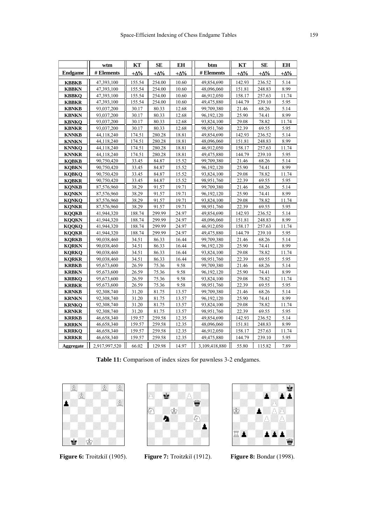|                  | wtm           | KT         | SE         | EH         | btm           | KT         | <b>SE</b>  | ЕH         |
|------------------|---------------|------------|------------|------------|---------------|------------|------------|------------|
| <b>Endgame</b>   | # Elements    | $+\Delta%$ | $+\Delta%$ | $+\Delta%$ | # Elements    | $+\Delta%$ | $+\Delta%$ | $+\Delta%$ |
| <b>KBBKB</b>     | 47,393,100    | 155.54     | 254.00     | 10.60      | 49,854,690    | 142.93     | 236.52     | 5.14       |
| <b>KBBKN</b>     | 47,393,100    | 155.54     | 254.00     | 10.60      | 48,096,060    | 151.81     | 248.83     | 8.99       |
| <b>KBBKQ</b>     | 47,393,100    | 155.54     | 254.00     | 10.60      | 46,912,050    | 158.17     | 257.63     | 11.74      |
| <b>KBBKR</b>     | 47,393,100    | 155.54     | 254.00     | 10.60      | 49,475,880    | 144.79     | 239.10     | 5.95       |
| <b>KBNKB</b>     | 93,037,200    | 30.17      | 80.33      | 12.68      | 99,709,380    | 21.46      | 68.26      | 5.14       |
| <b>KBNKN</b>     | 93,037,200    | 30.17      | 80.33      | 12.68      | 96,192,120    | 25.90      | 74.41      | 8.99       |
| <b>KBNKQ</b>     | 93,037,200    | 30.17      | 80.33      | 12.68      | 93,824,100    | 29.08      | 78.82      | 11.74      |
| <b>KBNKR</b>     | 93,037,200    | 30.17      | 80.33      | 12.68      | 98,951,760    | 22.39      | 69.55      | 5.95       |
| <b>KNNKB</b>     | 44,118,240    | 174.51     | 280.28     | 18.81      | 49,854,690    | 142.93     | 236.52     | 5.14       |
| <b>KNNKN</b>     | 44,118,240    | 174.51     | 280.28     | 18.81      | 48,096,060    | 151.81     | 248.83     | 8.99       |
| <b>KNNKQ</b>     | 44,118,240    | 174.51     | 280.28     | 18.81      | 46,912,050    | 158.17     | 257.63     | 11.74      |
| <b>KNNKR</b>     | 44,118,240    | 174.51     | 280.28     | 18.81      | 49,475,880    | 144.79     | 239.10     | 5.95       |
| <b>KOBKB</b>     | 90,750,420    | 33.45      | 84.87      | 15.52      | 99,709,380    | 21.46      | 68.26      | 5.14       |
| <b>KQBKN</b>     | 90,750,420    | 33.45      | 84.87      | 15.52      | 96, 192, 120  | 25.90      | 74.41      | 8.99       |
| <b>KOBKO</b>     | 90,750,420    | 33.45      | 84.87      | 15.52      | 93,824,100    | 29.08      | 78.82      | 11.74      |
| <b>KQBKR</b>     | 90,750,420    | 33.45      | 84.87      | 15.52      | 98,951,760    | 22.39      | 69.55      | 5.95       |
| <b>KONKB</b>     | 87,576,960    | 38.29      | 91.57      | 19.71      | 99,709,380    | 21.46      | 68.26      | 5.14       |
| <b>KONKN</b>     | 87,576,960    | 38.29      | 91.57      | 19.71      | 96,192,120    | 25.90      | 74.41      | 8.99       |
| <b>KQNKQ</b>     | 87,576,960    | 38.29      | 91.57      | 19.71      | 93,824,100    | 29.08      | 78.82      | 11.74      |
| <b>KQNKR</b>     | 87,576,960    | 38.29      | 91.57      | 19.71      | 98,951,760    | 22.39      | 69.55      | 5.95       |
| <b>KQQKB</b>     | 41,944,320    | 188.74     | 299.99     | 24.97      | 49,854,690    | 142.93     | 236.52     | 5.14       |
| <b>KQQKN</b>     | 41,944,320    | 188.74     | 299.99     | 24.97      | 48,096,060    | 151.81     | 248.83     | 8.99       |
| <b>KQQKQ</b>     | 41,944,320    | 188.74     | 299.99     | 24.97      | 46,912,050    | 158.17     | 257.63     | 11.74      |
| <b>KOOKR</b>     | 41,944,320    | 188.74     | 299.99     | 24.97      | 49,475,880    | 144.79     | 239.10     | 5.95       |
| <b>KQRKB</b>     | 90,038,460    | 34.51      | 86.33      | 16.44      | 99,709,380    | 21.46      | 68.26      | 5.14       |
| <b>KQRKN</b>     | 90,038,460    | 34.51      | 86.33      | 16.44      | 96,192,120    | 25.90      | 74.41      | 8.99       |
| <b>KORKO</b>     | 90,038,460    | 34.51      | 86.33      | 16.44      | 93,824,100    | 29.08      | 78.82      | 11.74      |
| <b>KQRKR</b>     | 90,038,460    | 34.51      | 86.33      | 16.44      | 98,951,760    | 22.39      | 69.55      | 5.95       |
| <b>KRBKB</b>     | 95,673,600    | 26.59      | 75.36      | 9.58       | 99,709,380    | 21.46      | 68.26      | 5.14       |
| <b>KRBKN</b>     | 95,673,600    | 26.59      | 75.36      | 9.58       | 96,192,120    | 25.90      | 74.41      | 8.99       |
| <b>KRBKQ</b>     | 95,673,600    | 26.59      | 75.36      | 9.58       | 93,824,100    | 29.08      | 78.82      | 11.74      |
| <b>KRBKR</b>     | 95,673,600    | 26.59      | 75.36      | 9.58       | 98,951,760    | 22.39      | 69.55      | 5.95       |
| <b>KRNKB</b>     | 92,308,740    | 31.20      | 81.75      | 13.57      | 99,709,380    | 21.46      | 68.26      | 5.14       |
| <b>KRNKN</b>     | 92,308,740    | 31.20      | 81.75      | 13.57      | 96, 192, 120  | 25.90      | 74.41      | 8.99       |
| <b>KRNKO</b>     | 92,308,740    | 31.20      | 81.75      | 13.57      | 93,824,100    | 29.08      | 78.82      | 11.74      |
| <b>KRNKR</b>     | 92,308,740    | 31.20      | 81.75      | 13.57      | 98,951,760    | 22.39      | 69.55      | 5.95       |
| <b>KRRKB</b>     | 46,658,340    | 159.57     | 259.58     | 12.35      | 49,854,690    | 142.93     | 236.52     | 5.14       |
| <b>KRRKN</b>     | 46,658,340    | 159.57     | 259.58     | 12.35      | 48,096,060    | 151.81     | 248.83     | 8.99       |
| <b>KRRKQ</b>     | 46,658,340    | 159.57     | 259.58     | 12.35      | 46,912,050    | 158.17     | 257.63     | 11.74      |
| <b>KRRKR</b>     | 46,658,340    | 159.57     | 259.58     | 12.35      | 49,475,880    | 144.79     | 239.10     | 5.95       |
| <b>Aggregate</b> | 2,917,997,520 | 66.02      | 129.98     | 14.97      | 3,109,418,880 | 55.80      | 115.82     | 7.89       |

**Table 11:** Comparison of index sizes for pawnless 3-2 endgames.



**Figure 6:** Troitzkiĭ (1905).





**Figure 7:** Troitzkiĭ (1912).

**Figure 8:** Bondar (1998).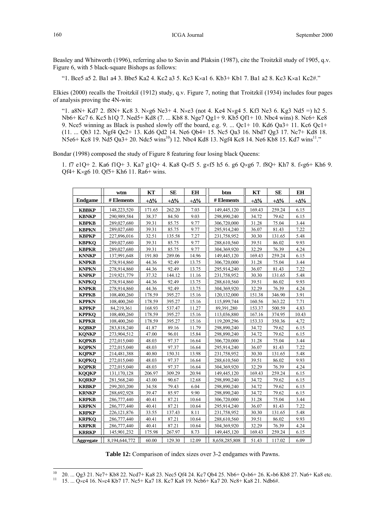Beasley and Whitworth (1996), referring also to Savin and Plaksin (1987), cite the Troitzkiĭ study of 1905, q.v. Figure 6, with 5 black-square Bishops as follows:

"1. Bce5 a5 2. Ba1 a4 3. Bbe5 Ka2 4. Kc2 a3 5. Kc3 K×a1 6. Kb3+ Kb1 7. Ba1 a2 8. Kc3 K×a1 Kc2#."

Elkies (2000) recalls the Troitzkiĭ (1912) study, q.v. Figure 7, noting that Troitzkiĭ (1934) includes four pages of analysis proving the 4N-win:

"1. a8N+ Kd7 2. f8N+ Kc8 3. N×g6 Ne3+ 4. N×e3 (not 4. Ke4 N×g4 5. Kf3 Ne3 6. Kg3 Nd5 =) h2 5. Nb6+ Kc7 6. Kc5 h1Q 7. Ned5+ Kd8 (7. ... Kb8 8. Nge7 Qg1+ 9. Kb5 Qf1+ 10. Nbc4 wins) 8. Nc6+ Ke8 9. Nce5 winning as Black is pushed slowly off the board, e.g. 9. ... Qc1+ 10. Kd6 Qa3+ 11. Kc6 Qc1+ (11. ... Qb3 12. Ngf4 Qc2+ 13. Kd6 Qd2 14. Ne6 Qb4+ 15. Nc5 Qa3 16. Nbd7 Qg3 17. Nc7+ Kd8 18.  $N5e6+Kc8$  19. Nd5 Qa3+ 20. Ndc5 wins<sup>10</sup>) 12. Nbc4 Kd8 13. Ngf4 Kc8 14. Ne6 Kb8 15. Kd7 wins<sup>11</sup>."

Bondar (1998) composed the study of Figure 8 featuring four losing black Queens:

1. f7 e1Q+ 2. Ka6 f1Q+ 3. Ka7 g1Q+ 4. Ka8 Q×f5 5. g×f5 h5 6. g6 Q×g6 7. f8Q+ Kh7 8. f×g6+ Kh6 9. Qf4+ K×g6 10. Qf5+ Kh6 11. Ra6+ wins.

|                | wtm           | KT         | <b>SE</b>  | <b>EH</b>   | btm           | KT         | <b>SE</b>   | <b>EH</b>   |
|----------------|---------------|------------|------------|-------------|---------------|------------|-------------|-------------|
| <b>Endgame</b> | # Elements    | $+\Delta%$ | $+\Delta%$ | $+\Delta\%$ | # Elements    | $+\Delta%$ | $+\Delta\%$ | $+\Delta\%$ |
| <b>KBBKP</b>   | 148,223,520   | 171.65     | 262.20     | 7.03        | 149,445,120   | 169.43     | 259.24      | 6.15        |
| <b>KBNKP</b>   | 290,989,584   | 38.37      | 84.50      | 9.03        | 298,890,240   | 34.72      | 79.62       | 6.15        |
| <b>KBPKB</b>   | 289,027,680   | 39.31      | 85.75      | 9.77        | 306,720,000   | 31.28      | 75.04       | 3.44        |
| <b>KBPKN</b>   | 289,027,680   | 39.31      | 85.75      | 9.77        | 295,914,240   | 36.07      | 81.43       | 7.22        |
| <b>KBPKP</b>   | 227,896,016   | 32.51      | 135.58     | 7.27        | 231,758,952   | 30.30      | 131.65      | 5.48        |
| <b>KBPKO</b>   | 289,027,680   | 39.31      | 85.75      | 9.77        | 288,610,560   | 39.51      | 86.02       | 9.93        |
| <b>KBPKR</b>   | 289,027,680   | 39.31      | 85.75      | 9.77        | 304,369,920   | 32.29      | 76.39       | 4.24        |
| <b>KNNKP</b>   | 137,991,648   | 191.80     | 289.06     | 14.96       | 149,445,120   | 169.43     | 259.24      | 6.15        |
| <b>KNPKB</b>   | 278,914,860   | 44.36      | 92.49      | 13.75       | 306,720,000   | 31.28      | 75.04       | 3.44        |
| <b>KNPKN</b>   | 278,914,860   | 44.36      | 92.49      | 13.75       | 295,914,240   | 36.07      | 81.43       | 7.22        |
| <b>KNPKP</b>   | 219,921,779   | 37.32      | 144.12     | 11.16       | 231,758,952   | 30.30      | 131.65      | 5.48        |
| <b>KNPKO</b>   | 278,914,860   | 44.36      | 92.49      | 13.75       | 288,610,560   | 39.51      | 86.02       | 9.93        |
| <b>KNPKR</b>   | 278,914,860   | 44.36      | 92.49      | 13.75       | 304,369,920   | 32.29      | 76.39       | 4.24        |
| <b>KPPKB</b>   | 108,400,260   | 178.59     | 395.27     | 15.16       | 120,132,000   | 151.38     | 346.90      | 3.91        |
| <b>KPPKN</b>   | 108,400,260   | 178.59     | 395.27     | 15.16       | 115,899,744   | 160.56     | 363.22      | 7.71        |
| <b>KPPKP</b>   | 84,219,361    | 168.93     | 537.47     | 11.27       | 89,391,280    | 153.37     | 500.59      | 4.83        |
| <b>KPPKQ</b>   | 108,400,260   | 178.59     | 395.27     | 15.16       | 113,036,880   | 167.16     | 374.95      | 10.43       |
| <b>KPPKR</b>   | 108,400,260   | 178.59     | 395.27     | 15.16       | 119,209,296   | 153.33     | 350.36      | 4,72        |
| <b>KQBKP</b>   | 283,818,240   | 41.87      | 89.16      | 11.79       | 298,890,240   | 34.72      | 79.62       | 6.15        |
| <b>KONKP</b>   | 273,904,512   | 47.00      | 96.01      | 15.84       | 298,890,240   | 34.72      | 79.62       | 6.15        |
| <b>KOPKB</b>   | 272,015,040   | 48.03      | 97.37      | 16.64       | 306,720,000   | 31.28      | 75.04       | 3.44        |
| <b>KQPKN</b>   | 272,015,040   | 48.03      | 97.37      | 16.64       | 295,914,240   | 36.07      | 81.43       | 7.22        |
| <b>KOPKP</b>   | 214,481,388   | 40.80      | 150.31     | 13.98       | 231,758,952   | 30.30      | 131.65      | 5.48        |
| <b>KQPKQ</b>   | 272,015,040   | 48.03      | 97.37      | 16.64       | 288,610,560   | 39.51      | 86.02       | 9.93        |
| <b>KQPKR</b>   | 272,015,040   | 48.03      | 97.37      | 16.64       | 304,369,920   | 32.29      | 76.39       | 4.24        |
| <b>KOOKP</b>   | 131,170,128   | 206.97     | 309.29     | 20.94       | 149,445,120   | 169.43     | 259.24      | 6.15        |
| <b>KORKP</b>   | 281,568,240   | 43.00      | 90.67      | 12.68       | 298,890,240   | 34.72      | 79.62       | 6.15        |
| <b>KRBKP</b>   | 299,203,200   | 34.58      | 79.43      | 6.04        | 298,890,240   | 34.72      | 79.62       | 6.15        |
| <b>KRNKP</b>   | 288,692,928   | 39.47      | 85.97      | 9.90        | 298,890,240   | 34.72      | 79.62       | 6.15        |
| <b>KRPKB</b>   | 286,777,440   | 40.41      | 87.21      | 10.64       | 306,720,000   | 31.28      | 75.04       | 3.44        |
| <b>KRPKN</b>   | 286,777,440   | 40.41      | 87.21      | 10.64       | 295,914,240   | 36.07      | 81.43       | 7.22        |
| <b>KRPKP</b>   | 226, 121, 876 | 33.55      | 137.43     | 8.11        | 231,758,952   | 30.30      | 131.65      | 5.48        |
| <b>KRPKO</b>   | 286,777,440   | 40.41      | 87.21      | 10.64       | 288,610,560   | 39.51      | 86.02       | 9.93        |
| <b>KRPKR</b>   | 286,777,440   | 40.41      | 87.21      | 10.64       | 304,369,920   | 32.29      | 76.39       | 4.24        |
| <b>KRRKP</b>   | 145,901,232   | 175.98     | 267.97     | 8.73        | 149,445,120   | 169.43     | 259.24      | 6.15        |
| Aggregate      | 8,194,644,772 | 60.00      | 129.30     | 12.09       | 8,658,285,808 | 51.43      | 117.02      | 6.09        |

**Table 12:** Comparison of index sizes over 3-2 endgames with Pawns.

 $10<sup>10</sup>$ <sup>10</sup> 20. ... Qg3 21. Ne7+ Kb8 22. Ncd7+ Ka8 23. Nec5 Qf4 24. Kc7 Qb4 25. Nb6+ Q×b6+ 26. K×b6 Kb8 27. Na6+ Ka8 etc. <sup>11</sup> 15. ... Q×c4 16. N×c4 Kb7 17. Nc5+ Ka7 18. Kc7 Ka8 19. Ncb6+ Ka7 20. Nc8+ Ka8 21. Ndb6#.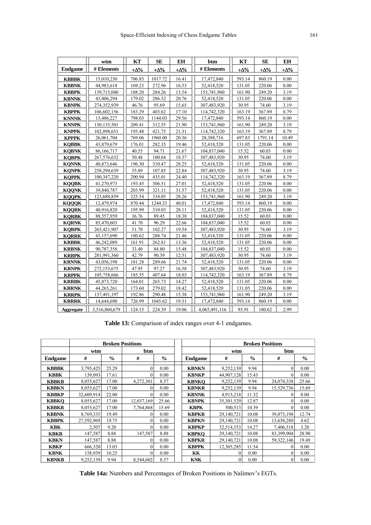|                | wtm           | KТ          | SE          | EH          | btm           | KТ         | SE          | EH         |
|----------------|---------------|-------------|-------------|-------------|---------------|------------|-------------|------------|
| <b>Endgame</b> | # Elements    | $+\Delta\%$ | $+\Delta\%$ | $+\Delta\%$ | $\#$ Elements | $+\Delta%$ | $+\Delta\%$ | $+\Delta%$ |
| <b>KBBBK</b>   | 15,010,230    | 706.85      | 1017.72     | 16.41       | 17,472,840    | 593.14     | 860.19      | 0.00       |
| <b>KBBNK</b>   | 44,983,618    | 169.23      | 272.96      | 16.53       | 52,418,520    | 131.05     | 220.06      | 0.00       |
| <b>KBBPK</b>   | 139,715,040   | 188.20      | 284.26      | 13.54       | 153,741,960   | 161.90     | 249.20      | 3.19       |
| <b>KBNNK</b>   | 43,406,294    | 179.02      | 286.52      | 20.76       | 52,418,520    | 131.05     | 220.06      | 0.00       |
| <b>KBNPK</b>   | 274,352,939   | 46.76       | 95.69       | 15.65       | 307,483,920   | 30.95      | 74.60       | 3.19       |
| <b>KBPPK</b>   | 106,602,156   | 183.29      | 403.62      | 17.10       | 114,742,320   | 163.19     | 367.89      | 8.79       |
| <b>KNNNK</b>   | 13,486,227    | 798.03      | 1144.03     | 29.56       | 17,472,840    | 593.14     | 860.19      | 0.00       |
| <b>KNNPK</b>   | 130, 135, 501 | 209.41      | 312.55      | 21.90       | 153,741,960   | 161.90     | 249.20      | 3.19       |
| <b>KNPPK</b>   | 102,898,651   | 193.48      | 421.75      | 21.31       | 114,742,320   | 163.19     | 367.89      | 8.79       |
| <b>KPPPK</b>   | 26,061,704    | 769.06      | 1960.00     | 20.36       | 28,388,716    | 697.83     | 1791.14     | 10.49      |
| <b>KOBBK</b>   | 43,879,679    | 176.01      | 282.35      | 19.46       | 52,418,520    | 131.05     | 220.06      | 0.00       |
| <b>KOBNK</b>   | 86,166,717    | 40.55       | 94.71       | 21.67       | 104,837,040   | 15.52      | 60.03       | 0.00       |
| <b>KQBPK</b>   | 267,576,632   | 50.48       | 100.64      | 18.57       | 307,483,920   | 30.95      | 74.60       | 3.19       |
| <b>KONNK</b>   | 40,873,646    | 196.30      | 310.47      | 28.25       | 52,418,520    | 131.05     | 220.06      | 0.00       |
| <b>KONPK</b>   | 258,294,639   | 55.89       | 107.85      | 22.84       | 307,483,920   | 30.95      | 74.60       | 3.19       |
| <b>KOPPK</b>   | 100,347,220   | 200.94      | 435.01      | 24.40       | 114,742,320   | 163.19     | 367.89      | 8.79       |
| <b>KQQBK</b>   | 41,270,973    | 193.45      | 306.51      | 27.01       | 52,418,520    | 131.05     | 220.06      | 0.00       |
| <b>KQQNK</b>   | 39,840,787    | 203.99      | 321.11      | 31.57       | 52,418,520    | 131.05     | 220.06      | 0.00       |
| <b>KOOPK</b>   | 123,688,859   | 225.54      | 334.05      | 28.26       | 153,741,960   | 161.90     | 249.20      | 3.19       |
| <b>KOOOK</b>   | 12,479,974    | 870.44      | 1244.33     | 40.01       | 17,472,840    | 593.14     | 860.19      | 0.00       |
| <b>KOORK</b>   | 40,916,820    | 195.99      | 310.03      | 28.11       | 52,418,520    | 131.05     | 220.06      | $0.00\,$   |
| <b>KQRBK</b>   | 88,557,959    | 36.76       | 89.45       | 18.38       | 104,837,040   | 15.52      | 60.03       | 0.00       |
| <b>KORNK</b>   | 85,470,603    | 41.70       | 96.29       | 22.66       | 104,837,040   | 15.52      | 60.03       | 0.00       |
| <b>KORPK</b>   | 265,421,907   | 51.70       | 102.27      | 19.54       | 307,483,920   | 30.95      | 74.60       | 3.19       |
| <b>KORRK</b>   | 43,157,690    | 180.62      | 288.74      | 21.46       | 52,418,520    | 131.05     | 220.06      | 0.00       |
| <b>KRBBK</b>   | 46,242,089    | 161.91      | 262.81      | 13.36       | 52,418,520    | 131.05     | 220.06      | 0.00       |
| <b>KRBNK</b>   | 90,787,358    | 33.40       | 84.80       | 15.48       | 104,837,040   | 15.52      | 60.03       | 0.00       |
| <b>KRBPK</b>   | 281,991,360   | 42.79       | 90.39       | 12.51       | 307,483,920   | 30.95      | 74.60       | 3.19       |
| <b>KRNNK</b>   | 43,056,198    | 181.28      | 289.66      | 21.74       | 52,418,520    | 131.05     | 220.06      | 0.00       |
| <b>KRNPK</b>   | 272,153,675   | 47.95       | 97.27       | 16.58       | 307,483,920   | 30.95      | 74.60       | 3.19       |
| <b>KRPPK</b>   | 105,758,666   | 185.55      | 407.64      | 18.03       | 114,742,320   | 163.19     | 367.89      | 8.79       |
| <b>KRRBK</b>   | 45,873,720    | 164.01      | 265.73      | 14.27       | 52,418,520    | 131.05     | 220.06      | 0.00       |
| <b>KRRNK</b>   | 44,265,261    | 173.60      | 279.02      | 18.42       | 52,418,520    | 131.05     | 220.06      | 0.00       |
| <b>KRRPK</b>   | 137,491,197   | 192.86      | 290.48      | 15.38       | 153,741,960   | 161.90     | 249.20      | 3.19       |
| <b>KRRRK</b>   | 14,644,690    | 726.99      | 1045.62     | 19.31       | 17,472,840    | 593.14     | 860.19      | 0.00       |
| Aggregate      | 3,516,860,679 | 124.15      | 224.39      | 19.06       | 4,065,491,116 | 93.91      | 180.62      | 2.99       |

**Table 13:** Comparison of index ranges over 4-1 endgames.

|                | <b>Broken Positions</b> |               |              |               |                | <b>Broken Positions</b> |               |                |               |  |
|----------------|-------------------------|---------------|--------------|---------------|----------------|-------------------------|---------------|----------------|---------------|--|
|                | wtm                     |               | <b>btm</b>   |               |                | wtm                     |               | htm            |               |  |
| <b>Endgame</b> | #                       | $\frac{0}{0}$ | #            | $\frac{0}{0}$ | <b>Endgame</b> | #                       | $\frac{0}{0}$ | #              | $\frac{6}{6}$ |  |
|                |                         |               |              |               |                |                         |               |                |               |  |
| <b>KBBBK</b>   | 3,795,425               | 25.29         | $\theta$     | 0.00          | <b>KBNKN</b>   | 9,252,139               | 9.94          | $\overline{0}$ | 0.00          |  |
| <b>KBBK</b>    | 139,093                 | 17.61         | $\Omega$     | 0.00          | <b>KBNKP</b>   | 44,907,128              | 15.43         | $\theta$       | 0.00          |  |
| <b>KBBKB</b>   | 8,055,627               | 17.00         | 4,272,301    | 8.57          | <b>KBNKO</b>   | 9,252,139               | 9.94          | 24,074,338     | 25.66         |  |
| <b>KBBKN</b>   | 8,055,627               | 17.00         | $\theta$     | 0.00          | <b>KBNKR</b>   | 9,252,139               | 9.94          | 15,529,736     | 15.69         |  |
| <b>KBBKP</b>   | 32,609,914              | 22.00         | $\mathbf{0}$ | 0.00          | <b>KBNNK</b>   | 4,915,218               | 11.32         | $\theta$       | 0.00          |  |
| <b>KBBKO</b>   | 8,055,627               | 17.00         | 12,037,169   | 25.66         | <b>KBNPK</b>   | 35,301,529              | 12.87         | $\theta$       | 0.00          |  |
| <b>KBBKR</b>   | 8,055,627               | 17.00         | 7,764,868    | 15.69         | <b>KBPK</b>    | 500,513                 | 10.39         | $\theta$       | 0.00          |  |
| <b>KBBNK</b>   | 8,769,335               | 19.49         | $\theta$     | 0.00          | <b>KBPKB</b>   | 29,140,721              | 10.08         | 39,073,198     | 12.74         |  |
| <b>KBBPK</b>   | 27,592,969              | 19.75         | $\Omega$     | 0.00          | <b>KBPKN</b>   | 29,140,721              | 10.08         | 13,658,280     | 4.62          |  |
| <b>KBK</b>     | 2,507                   | 9.20          | $\theta$     | 0.00          | <b>KBPKP</b>   | 32,514,553              | 14.27         | 7,406,518      | 3.20          |  |
| <b>KBKB</b>    | 147,587                 | 8.88          | 147,587      | 8.88          | <b>KBPKO</b>   | 29,140,721              | 10.08         | 83,399,904     | 28.90         |  |
| <b>KBKN</b>    | 147,587                 | 8.88          | $\theta$     | 0.00          | <b>KBPKR</b>   | 29,140,721              | 10.08         | 59,322,146     | 19.49         |  |
| <b>KBKP</b>    | 666,320                 | 13.03         | $\theta$     | 0.00          | <b>KBPPK</b>   | 12,305,285              | 11.54         | $\theta$       | 0.00          |  |
| <b>KBNK</b>    | 158,939                 | 10.25         | $\theta$     | 0.00          | KК             | $\Omega$                | 0.00          | $\theta$       | 0.00          |  |
| <b>KBNKB</b>   | 9,252,139               | 9.94          | 8,544,602    | 8.57          | <b>KNK</b>     | $\vert$ 0               | 0.00          | $\theta$       | 0.00          |  |

**Table 14a:** Numbers and Percentages of Broken Positions in Nalimov's EGTs.